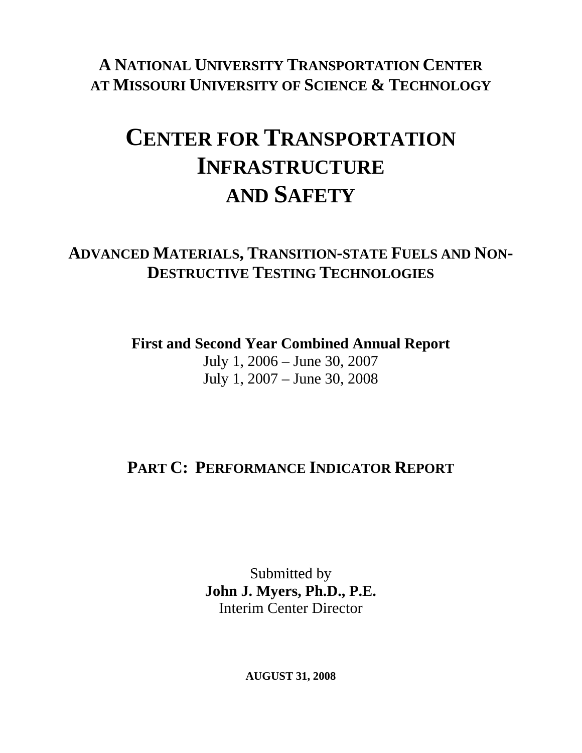### **A NATIONAL UNIVERSITY TRANSPORTATION CENTER AT MISSOURI UNIVERSITY OF SCIENCE & TECHNOLOGY**

# **CENTER FOR TRANSPORTATION INFRASTRUCTURE AND SAFETY**

### **ADVANCED MATERIALS, TRANSITION-STATE FUELS AND NON-DESTRUCTIVE TESTING TECHNOLOGIES**

**First and Second Year Combined Annual Report** 

July 1, 2006 – June 30, 2007 July 1, 2007 – June 30, 2008

# **PART C: PERFORMANCE INDICATOR REPORT**

Submitted by **John J. Myers, Ph.D., P.E.**  Interim Center Director

**AUGUST 31, 2008**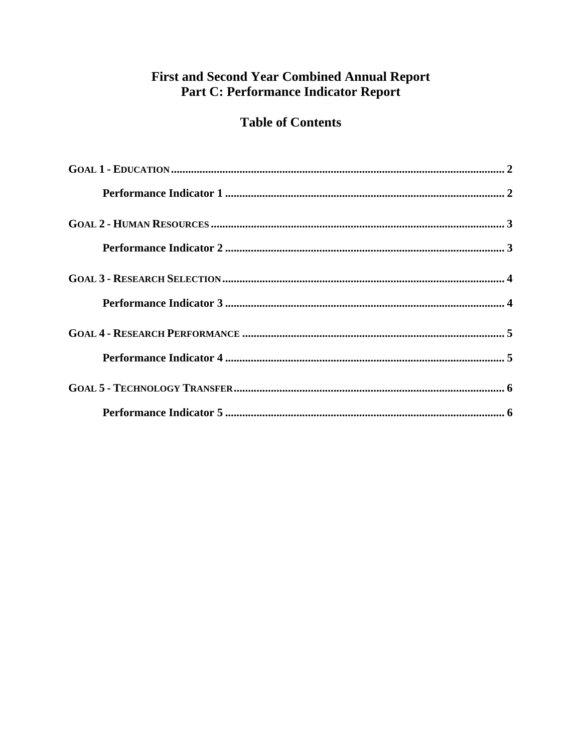#### **First and Second Year Combined Annual Report** Part C: Performance Indicator Report

#### **Table of Contents**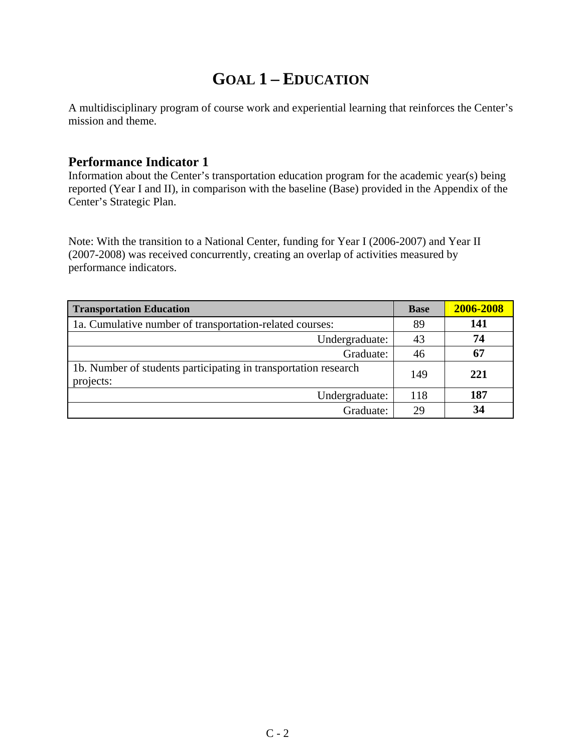## **GOAL 1 – EDUCATION**

A multidisciplinary program of course work and experiential learning that reinforces the Center's mission and theme.

#### **Performance Indicator 1**

Information about the Center's transportation education program for the academic year(s) being reported (Year I and II), in comparison with the baseline (Base) provided in the Appendix of the Center's Strategic Plan.

Note: With the transition to a National Center, funding for Year I (2006-2007) and Year II (2007-2008) was received concurrently, creating an overlap of activities measured by performance indicators.

| <b>Transportation Education</b>                                              | <b>Base</b> | 2006-2008 |
|------------------------------------------------------------------------------|-------------|-----------|
| 1a. Cumulative number of transportation-related courses:                     | 89          | 141       |
| Undergraduate:                                                               | 43          | 74        |
| Graduate:                                                                    | 46          | 67        |
| 1b. Number of students participating in transportation research<br>projects: | 149         | 221       |
| Undergraduate:                                                               | 118         | 187       |
| Graduate:                                                                    | 29          | 34        |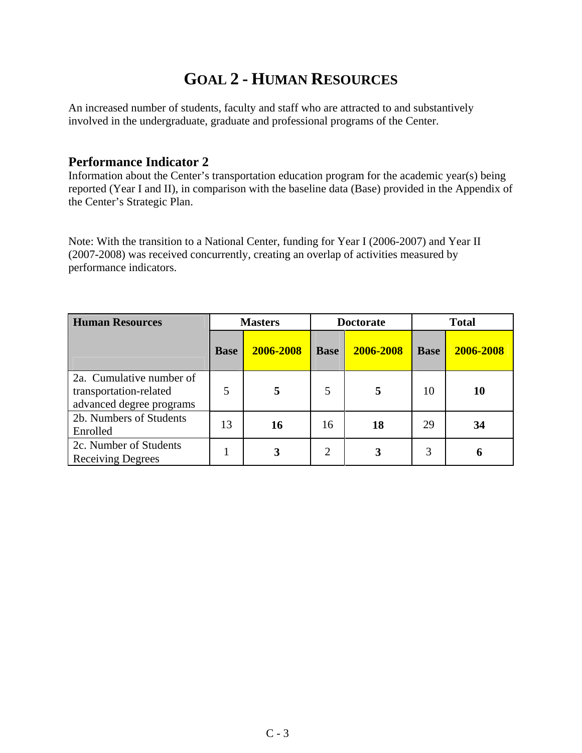#### **GOAL 2 - HUMAN RESOURCES**

An increased number of students, faculty and staff who are attracted to and substantively involved in the undergraduate, graduate and professional programs of the Center.

#### **Performance Indicator 2**

Information about the Center's transportation education program for the academic year(s) being reported (Year I and II), in comparison with the baseline data (Base) provided in the Appendix of the Center's Strategic Plan.

Note: With the transition to a National Center, funding for Year I (2006-2007) and Year II (2007-2008) was received concurrently, creating an overlap of activities measured by performance indicators.

| <b>Human Resources</b>                                                         |             | <b>Masters</b><br><b>Doctorate</b> |                |           |             | <b>Total</b> |  |
|--------------------------------------------------------------------------------|-------------|------------------------------------|----------------|-----------|-------------|--------------|--|
|                                                                                | <b>Base</b> | 2006-2008                          | <b>Base</b>    | 2006-2008 | <b>Base</b> | 2006-2008    |  |
| 2a. Cumulative number of<br>transportation-related<br>advanced degree programs | 5           |                                    | 5              | 5         | 10          | 10           |  |
| 2b. Numbers of Students<br>Enrolled                                            | 13          | 16                                 | 16             | 18        | 29          | 34           |  |
| 2c. Number of Students<br><b>Receiving Degrees</b>                             |             | 3                                  | $\overline{2}$ | 3         | 3           | 6            |  |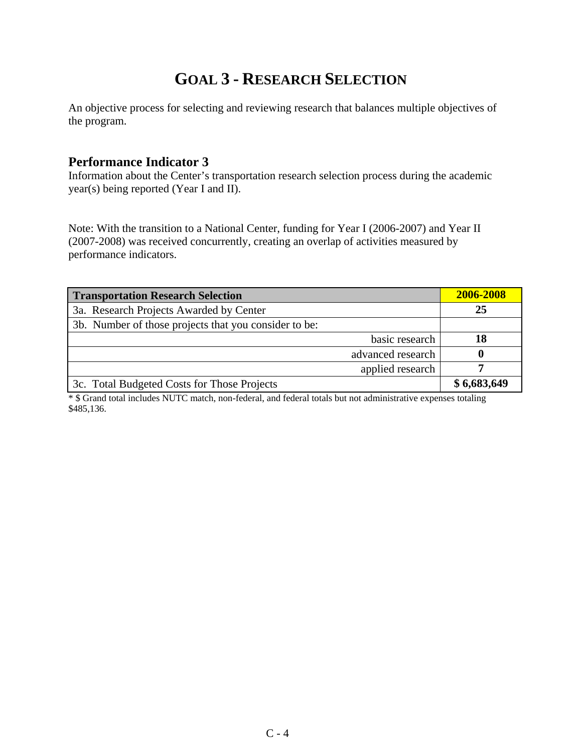### **GOAL 3 - RESEARCH SELECTION**

An objective process for selecting and reviewing research that balances multiple objectives of the program.

#### **Performance Indicator 3**

Information about the Center's transportation research selection process during the academic year(s) being reported (Year I and II).

Note: With the transition to a National Center, funding for Year I (2006-2007) and Year II (2007-2008) was received concurrently, creating an overlap of activities measured by performance indicators.

| <b>Transportation Research Selection</b>              | 2006-2008   |
|-------------------------------------------------------|-------------|
| 3a. Research Projects Awarded by Center               | 25          |
| 3b. Number of those projects that you consider to be: |             |
| basic research                                        | 18          |
| advanced research                                     |             |
| applied research                                      |             |
| 3c. Total Budgeted Costs for Those Projects           | \$6,683,649 |

\* \$ Grand total includes NUTC match, non-federal, and federal totals but not administrative expenses totaling \$485,136.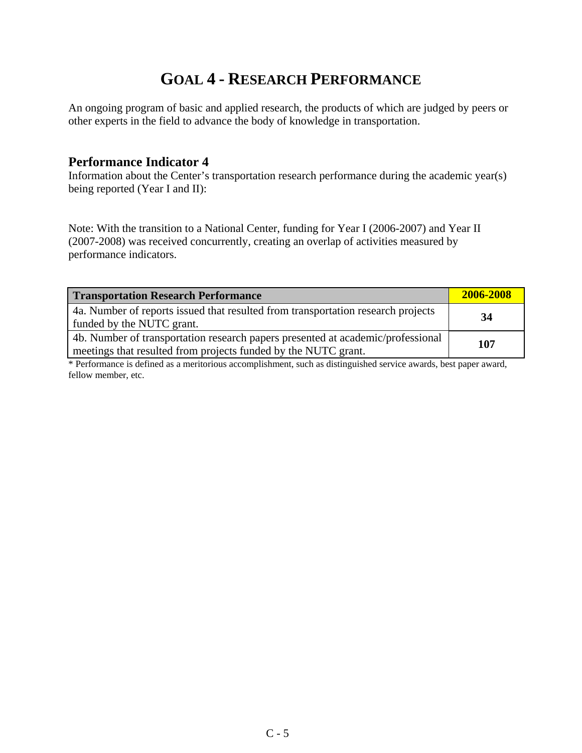### **GOAL 4 - RESEARCH PERFORMANCE**

An ongoing program of basic and applied research, the products of which are judged by peers or other experts in the field to advance the body of knowledge in transportation.

#### **Performance Indicator 4**

Information about the Center's transportation research performance during the academic year(s) being reported (Year I and II):

Note: With the transition to a National Center, funding for Year I (2006-2007) and Year II (2007-2008) was received concurrently, creating an overlap of activities measured by performance indicators.

| <b>Transportation Research Performance</b>                                                                                                        | 2006-2008 |
|---------------------------------------------------------------------------------------------------------------------------------------------------|-----------|
| 4a. Number of reports issued that resulted from transportation research projects<br>funded by the NUTC grant.                                     | 34        |
| 4b. Number of transportation research papers presented at academic/professional<br>meetings that resulted from projects funded by the NUTC grant. | 107       |

\* Performance is defined as a meritorious accomplishment, such as distinguished service awards, best paper award, fellow member, etc.